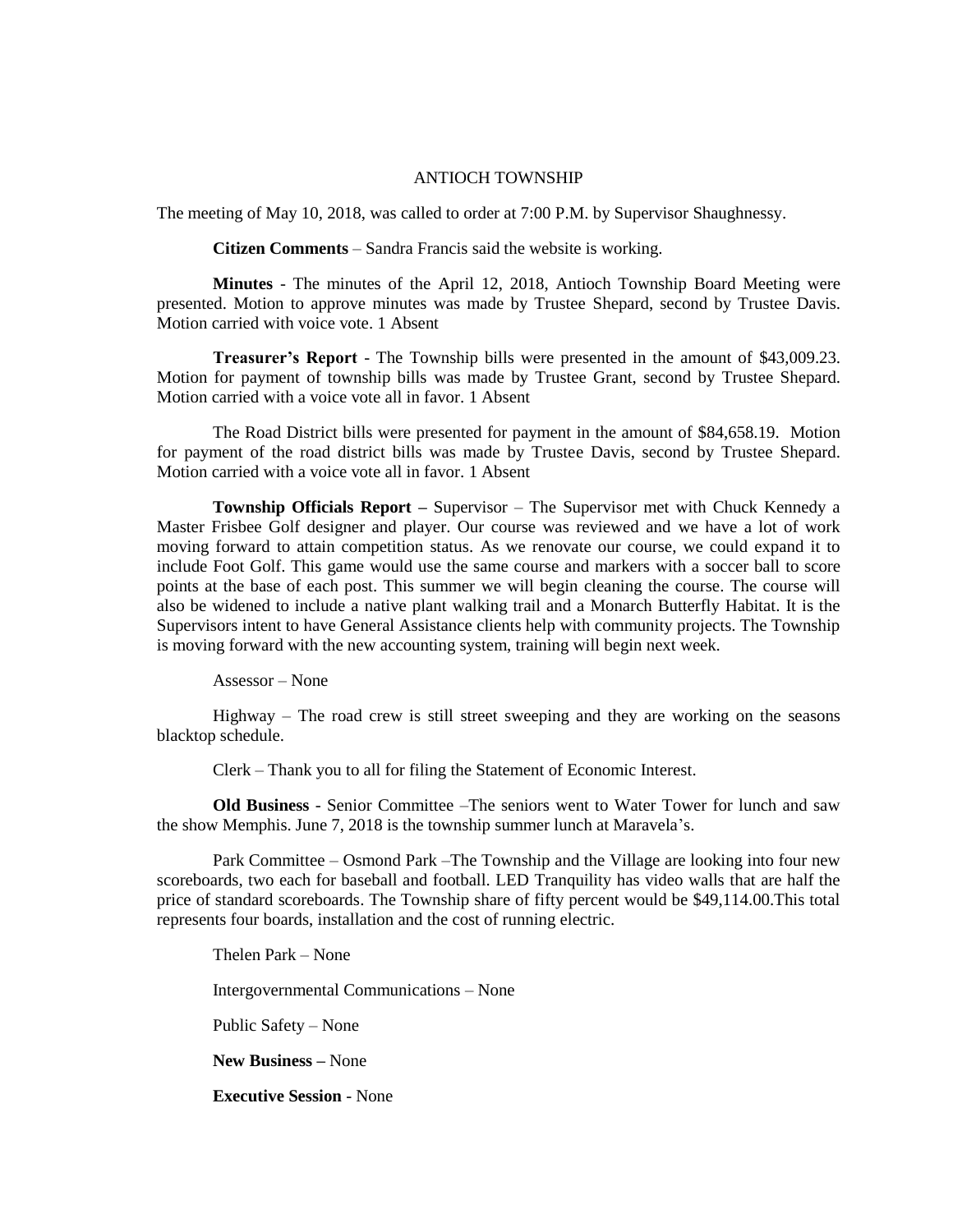## ANTIOCH TOWNSHIP

The meeting of May 10, 2018, was called to order at 7:00 P.M. by Supervisor Shaughnessy.

**Citizen Comments** – Sandra Francis said the website is working.

**Minutes** - The minutes of the April 12, 2018, Antioch Township Board Meeting were presented. Motion to approve minutes was made by Trustee Shepard, second by Trustee Davis. Motion carried with voice vote. 1 Absent

**Treasurer's Report** - The Township bills were presented in the amount of \$43,009.23. Motion for payment of township bills was made by Trustee Grant, second by Trustee Shepard. Motion carried with a voice vote all in favor. 1 Absent

The Road District bills were presented for payment in the amount of \$84,658.19. Motion for payment of the road district bills was made by Trustee Davis, second by Trustee Shepard. Motion carried with a voice vote all in favor. 1 Absent

**Township Officials Report** – Supervisor – The Supervisor met with Chuck Kennedy a Master Frisbee Golf designer and player. Our course was reviewed and we have a lot of work moving forward to attain competition status. As we renovate our course, we could expand it to include Foot Golf. This game would use the same course and markers with a soccer ball to score points at the base of each post. This summer we will begin cleaning the course. The course will also be widened to include a native plant walking trail and a Monarch Butterfly Habitat. It is the Supervisors intent to have General Assistance clients help with community projects. The Township is moving forward with the new accounting system, training will begin next week.

Assessor – None

Highway – The road crew is still street sweeping and they are working on the seasons blacktop schedule.

Clerk – Thank you to all for filing the Statement of Economic Interest.

**Old Business** - Senior Committee –The seniors went to Water Tower for lunch and saw the show Memphis. June 7, 2018 is the township summer lunch at Maravela's.

Park Committee – Osmond Park –The Township and the Village are looking into four new scoreboards, two each for baseball and football. LED Tranquility has video walls that are half the price of standard scoreboards. The Township share of fifty percent would be \$49,114.00.This total represents four boards, installation and the cost of running electric.

Thelen Park – None

Intergovernmental Communications – None

Public Safety – None

**New Business –** None

**Executive Session** - None